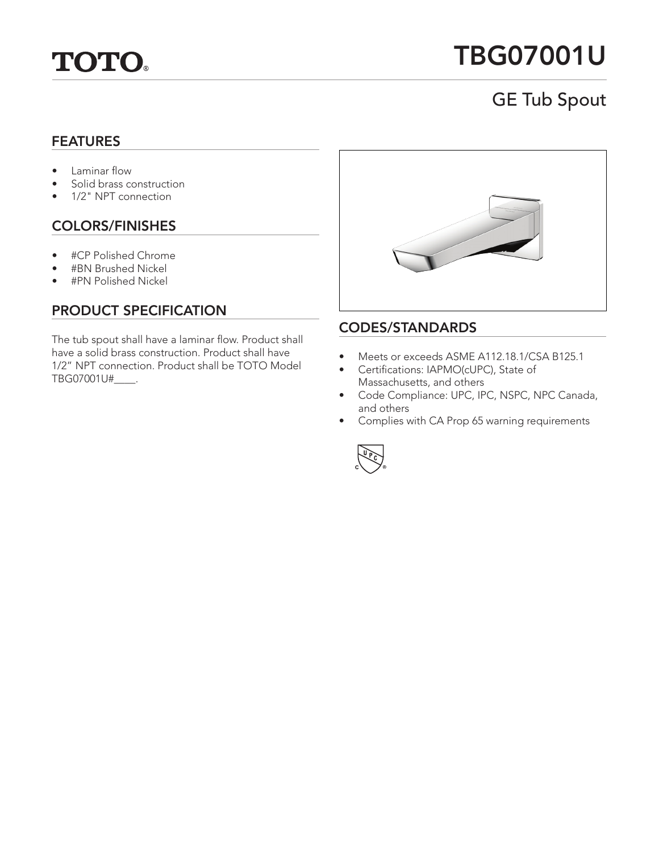

# TBG07001U

## GE Tub Spout

#### FEATURES

- Laminar flow
- Solid brass construction
- 1/2" NPT connection

## COLORS/FINISHES

- #CP Polished Chrome
- #BN Brushed Nickel
- #PN Polished Nickel

## PRODUCT SPECIFICATION

The tub spout shall have a laminar flow. Product shall have a solid brass construction. Product shall have 1/2" NPT connection. Product shall be TOTO Model TBG07001U#\_\_\_\_.



#### CODES/STANDARDS

- Meets or exceeds ASME A112.18.1/CSA B125.1
- Certifications: IAPMO(cUPC), State of Massachusetts, and others
- Code Compliance: UPC, IPC, NSPC, NPC Canada, and others
- Complies with CA Prop 65 warning requirements